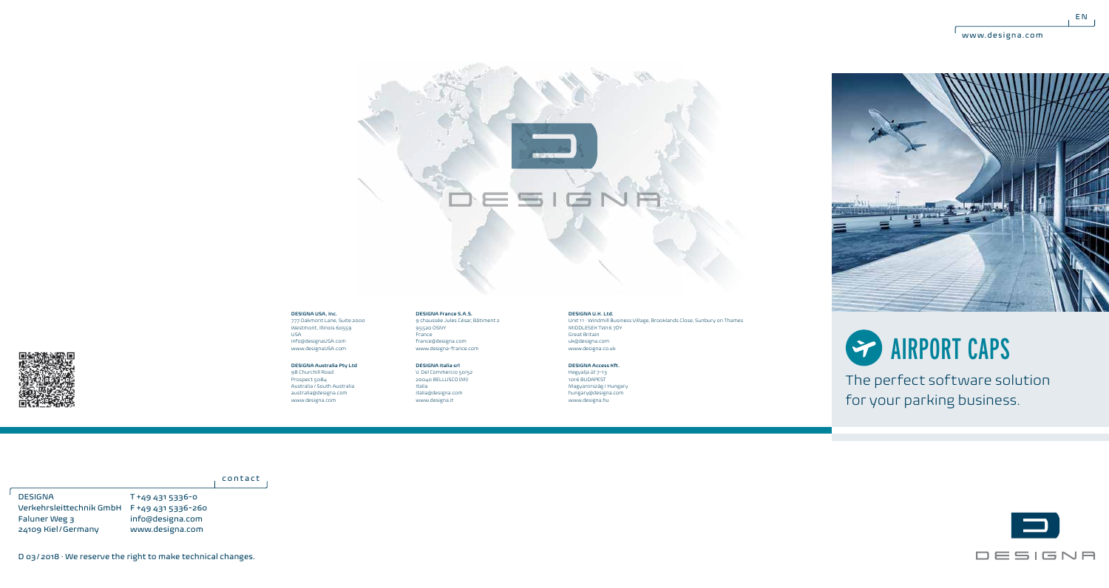$E N$ 



## **DESIGNA USA, Inc.**

777 Oakmont Lane, Suite 2000 Westmont, Illinois 60559 USA info@designaUSA.com www.designaUSA.com

## **DESIGNA Australia Pty Ltd** 98 Churchill Road

Prospect 5084 Australia / South Australia australia@designa.com www.designa.com

95520 OSNY France france@designa.com www.designa-france.com **DESIGNA Italia srl** V. Del Commercio 50/52

**DESIGNA France S.A.S.** 9 chaussée Jules César, Bâtiment 2

20040 BELLUSCO (MI) Italia italia@designa.com www.designa.it

## **DESIGNA U.K. Ltd.**

Unit 11 · Windmill Business Village, Brooklands Close, Sunbury on Thames MIDDLESEX TW16 7DY Great Britain uk@designa.com www.designa.co.uk

**DESIGNA Access Kft.** Hegyalja út 7-13 1016 BUDAPEST

Magyarország / Hungary hungary@designa.com www.designa.hu





The perfect software solution for your parking business.

contact

T +49 431 5336-0 Verkehrsleittechnik GmbH F +49 431 5336-260 info@designa.com www.designa.com DESIGNA Faluner Weg 3 24109 Kiel/Germany



D 03/2018 · We reserve the right to make technical changes.